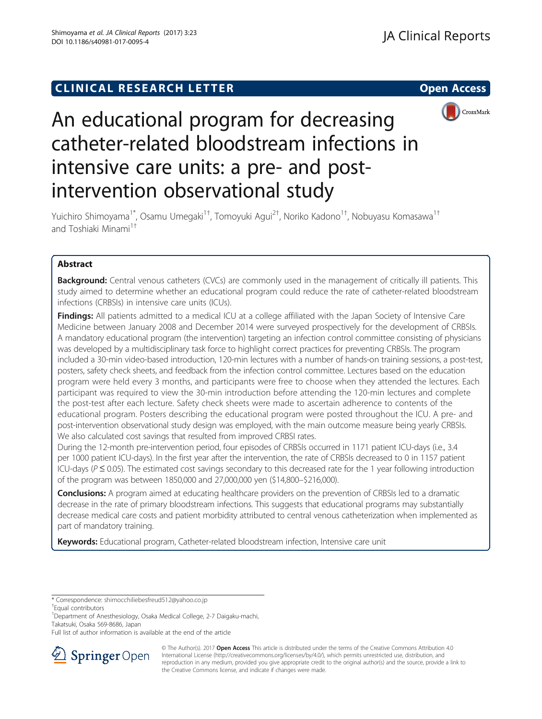# **CLINICAL RESEARCH LETTER** Open Access



# An educational program for decreasing catheter-related bloodstream infections in intensive care units: a pre- and postintervention observational study

Yuichiro Shimoyama<sup>1\*</sup>, Osamu Umegaki<sup>1†</sup>, Tomoyuki Agui<sup>2†</sup>, Noriko Kadono<sup>1†</sup>, Nobuyasu Komasawa<sup>1†</sup> and Toshiaki Minami<sup>1†</sup>

# Abstract

**Background:** Central venous catheters (CVCs) are commonly used in the management of critically ill patients. This study aimed to determine whether an educational program could reduce the rate of catheter-related bloodstream infections (CRBSIs) in intensive care units (ICUs).

Findings: All patients admitted to a medical ICU at a college affiliated with the Japan Society of Intensive Care Medicine between January 2008 and December 2014 were surveyed prospectively for the development of CRBSIs. A mandatory educational program (the intervention) targeting an infection control committee consisting of physicians was developed by a multidisciplinary task force to highlight correct practices for preventing CRBSIs. The program included a 30-min video-based introduction, 120-min lectures with a number of hands-on training sessions, a post-test, posters, safety check sheets, and feedback from the infection control committee. Lectures based on the education program were held every 3 months, and participants were free to choose when they attended the lectures. Each participant was required to view the 30-min introduction before attending the 120-min lectures and complete the post-test after each lecture. Safety check sheets were made to ascertain adherence to contents of the educational program. Posters describing the educational program were posted throughout the ICU. A pre- and post-intervention observational study design was employed, with the main outcome measure being yearly CRBSIs. We also calculated cost savings that resulted from improved CRBSI rates.

During the 12-month pre-intervention period, four episodes of CRBSIs occurred in 1171 patient ICU-days (i.e., 3.4 per 1000 patient ICU-days). In the first year after the intervention, the rate of CRBSIs decreased to 0 in 1157 patient ICU-days ( $P \le 0.05$ ). The estimated cost savings secondary to this decreased rate for the 1 year following introduction of the program was between 1850,000 and 27,000,000 yen (\$14,800–\$216,000).

**Conclusions:** A program aimed at educating healthcare providers on the prevention of CRBSIs led to a dramatic decrease in the rate of primary bloodstream infections. This suggests that educational programs may substantially decrease medical care costs and patient morbidity attributed to central venous catheterization when implemented as part of mandatory training.

Keywords: Educational program, Catheter-related bloodstream infection, Intensive care unit

Full list of author information is available at the end of the article



<sup>©</sup> The Author(s). 2017 **Open Access** This article is distributed under the terms of the Creative Commons Attribution 4.0 International License ([http://creativecommons.org/licenses/by/4.0/\)](http://creativecommons.org/licenses/by/4.0/), which permits unrestricted use, distribution, and reproduction in any medium, provided you give appropriate credit to the original author(s) and the source, provide a link to the Creative Commons license, and indicate if changes were made.

<sup>\*</sup> Correspondence: [shimocchiliebesfreud512@yahoo.co.jp](mailto:shimocchiliebesfreud512@yahoo.co.jp) †

Equal contributors

<sup>&</sup>lt;sup>1</sup>Department of Anesthesiology, Osaka Medical College, 2-7 Daigaku-machi, Takatsuki, Osaka 569-8686, Japan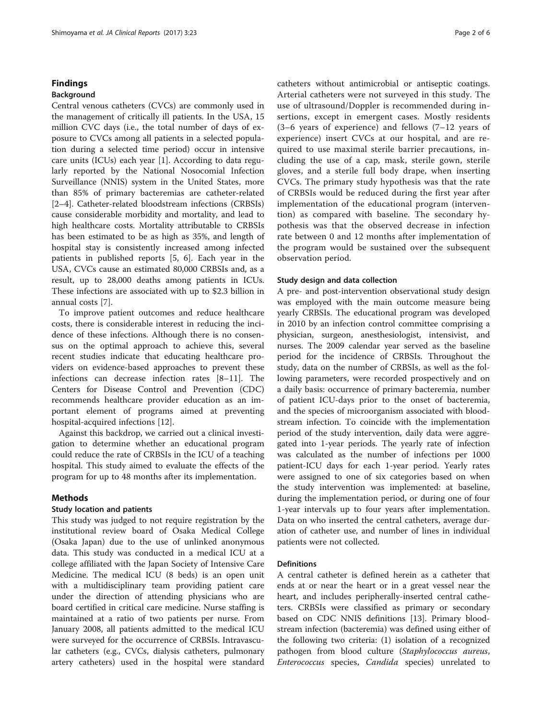# Findings

# Background

Central venous catheters (CVCs) are commonly used in the management of critically ill patients. In the USA, 15 million CVC days (i.e., the total number of days of exposure to CVCs among all patients in a selected population during a selected time period) occur in intensive care units (ICUs) each year [\[1\]](#page-5-0). According to data regularly reported by the National Nosocomial Infection Surveillance (NNIS) system in the United States, more than 85% of primary bacteremias are catheter-related [[2](#page-5-0)–[4\]](#page-5-0). Catheter-related bloodstream infections (CRBSIs) cause considerable morbidity and mortality, and lead to high healthcare costs. Mortality attributable to CRBSIs has been estimated to be as high as 35%, and length of hospital stay is consistently increased among infected patients in published reports [[5, 6\]](#page-5-0). Each year in the USA, CVCs cause an estimated 80,000 CRBSIs and, as a result, up to 28,000 deaths among patients in ICUs. These infections are associated with up to \$2.3 billion in annual costs [[7](#page-5-0)].

To improve patient outcomes and reduce healthcare costs, there is considerable interest in reducing the incidence of these infections. Although there is no consensus on the optimal approach to achieve this, several recent studies indicate that educating healthcare providers on evidence-based approaches to prevent these infections can decrease infection rates [\[8](#page-5-0)–[11\]](#page-5-0). The Centers for Disease Control and Prevention (CDC) recommends healthcare provider education as an important element of programs aimed at preventing hospital-acquired infections [\[12](#page-5-0)].

Against this backdrop, we carried out a clinical investigation to determine whether an educational program could reduce the rate of CRBSIs in the ICU of a teaching hospital. This study aimed to evaluate the effects of the program for up to 48 months after its implementation.

## Methods

# Study location and patients

This study was judged to not require registration by the institutional review board of Osaka Medical College (Osaka Japan) due to the use of unlinked anonymous data. This study was conducted in a medical ICU at a college affiliated with the Japan Society of Intensive Care Medicine. The medical ICU (8 beds) is an open unit with a multidisciplinary team providing patient care under the direction of attending physicians who are board certified in critical care medicine. Nurse staffing is maintained at a ratio of two patients per nurse. From January 2008, all patients admitted to the medical ICU were surveyed for the occurrence of CRBSIs. Intravascular catheters (e.g., CVCs, dialysis catheters, pulmonary artery catheters) used in the hospital were standard catheters without antimicrobial or antiseptic coatings. Arterial catheters were not surveyed in this study. The use of ultrasound/Doppler is recommended during insertions, except in emergent cases. Mostly residents (3–6 years of experience) and fellows (7–12 years of experience) insert CVCs at our hospital, and are required to use maximal sterile barrier precautions, including the use of a cap, mask, sterile gown, sterile gloves, and a sterile full body drape, when inserting CVCs. The primary study hypothesis was that the rate of CRBSIs would be reduced during the first year after implementation of the educational program (intervention) as compared with baseline. The secondary hypothesis was that the observed decrease in infection rate between 0 and 12 months after implementation of the program would be sustained over the subsequent observation period.

#### Study design and data collection

A pre- and post-intervention observational study design was employed with the main outcome measure being yearly CRBSIs. The educational program was developed in 2010 by an infection control committee comprising a physician, surgeon, anesthesiologist, intensivist, and nurses. The 2009 calendar year served as the baseline period for the incidence of CRBSIs. Throughout the study, data on the number of CRBSIs, as well as the following parameters, were recorded prospectively and on a daily basis: occurrence of primary bacteremia, number of patient ICU-days prior to the onset of bacteremia, and the species of microorganism associated with bloodstream infection. To coincide with the implementation period of the study intervention, daily data were aggregated into 1-year periods. The yearly rate of infection was calculated as the number of infections per 1000 patient-ICU days for each 1-year period. Yearly rates were assigned to one of six categories based on when the study intervention was implemented: at baseline, during the implementation period, or during one of four 1-year intervals up to four years after implementation. Data on who inserted the central catheters, average duration of catheter use, and number of lines in individual patients were not collected.

# **Definitions**

A central catheter is defined herein as a catheter that ends at or near the heart or in a great vessel near the heart, and includes peripherally-inserted central catheters. CRBSIs were classified as primary or secondary based on CDC NNIS definitions [\[13\]](#page-5-0). Primary bloodstream infection (bacteremia) was defined using either of the following two criteria: (1) isolation of a recognized pathogen from blood culture (Staphylococcus aureus, Enterococcus species, Candida species) unrelated to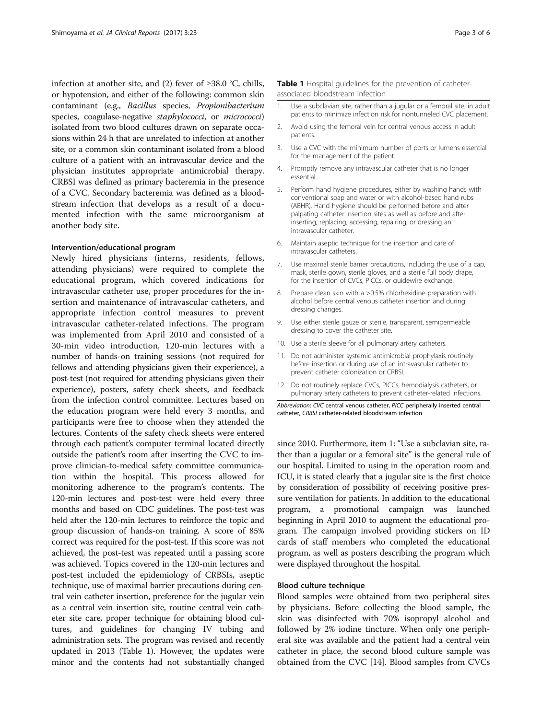infection at another site, and (2) fever of ≥38.0 °C, chills, or hypotension, and either of the following: common skin contaminant (e.g., Bacillus species, Propionibacterium species, coagulase-negative *staphylococci*, or *micrococci*) isolated from two blood cultures drawn on separate occasions within 24 h that are unrelated to infection at another site, or a common skin contaminant isolated from a blood culture of a patient with an intravascular device and the physician institutes appropriate antimicrobial therapy. CRBSI was defined as primary bacteremia in the presence of a CVC. Secondary bacteremia was defined as a bloodstream infection that develops as a result of a documented infection with the same microorganism at another body site.

# Intervention/educational program

Newly hired physicians (interns, residents, fellows, attending physicians) were required to complete the educational program, which covered indications for intravascular catheter use, proper procedures for the insertion and maintenance of intravascular catheters, and appropriate infection control measures to prevent intravascular catheter-related infections. The program was implemented from April 2010 and consisted of a 30-min video introduction, 120-min lectures with a number of hands-on training sessions (not required for fellows and attending physicians given their experience), a post-test (not required for attending physicians given their experience), posters, safety check sheets, and feedback from the infection control committee. Lectures based on the education program were held every 3 months, and participants were free to choose when they attended the lectures. Contents of the safety check sheets were entered through each patient's computer terminal located directly outside the patient's room after inserting the CVC to improve clinician-to-medical safety committee communication within the hospital. This process allowed for monitoring adherence to the program's contents. The 120-min lectures and post-test were held every three months and based on CDC guidelines. The post-test was held after the 120-min lectures to reinforce the topic and group discussion of hands-on training. A score of 85% correct was required for the post-test. If this score was not achieved, the post-test was repeated until a passing score was achieved. Topics covered in the 120-min lectures and post-test included the epidemiology of CRBSIs, aseptic technique, use of maximal barrier precautions during central vein catheter insertion, preference for the jugular vein as a central vein insertion site, routine central vein catheter site care, proper technique for obtaining blood cultures, and guidelines for changing IV tubing and administration sets. The program was revised and recently updated in 2013 (Table 1). However, the updates were minor and the contents had not substantially changed

# Table 1 Hospital guidelines for the prevention of catheterassociated bloodstream infection

- 1. Use a subclavian site, rather than a jugular or a femoral site, in adult patients to minimize infection risk for nontunneled CVC placement.
- 2. Avoid using the femoral vein for central venous access in adult patients.
- 3. Use a CVC with the minimum number of ports or lumens essential for the management of the patient.
- 4. Promptly remove any intravascular catheter that is no longer essential.
- 5. Perform hand hygiene procedures, either by washing hands with conventional soap and water or with alcohol-based hand rubs (ABHR). Hand hygiene should be performed before and after palpating catheter insertion sites as well as before and after inserting, replacing, accessing, repairing, or dressing an intravascular catheter.
- 6. Maintain aseptic technique for the insertion and care of intravascular catheters.
- 7. Use maximal sterile barrier precautions, including the use of a cap, mask, sterile gown, sterile gloves, and a sterile full body drape, for the insertion of CVCs, PICCs, or guidewire exchange.
- 8. Prepare clean skin with a >0.5% chlorhexidine preparation with alcohol before central venous catheter insertion and during dressing changes.
- 9. Use either sterile gauze or sterile, transparent, semipermeable dressing to cover the catheter site.
- 10. Use a sterile sleeve for all pulmonary artery catheters.
- 11. Do not administer systemic antimicrobial prophylaxis routinely before insertion or during use of an intravascular catheter to prevent catheter colonization or CRBSI.
- 12. Do not routinely replace CVCs, PICCs, hemodialysis catheters, or pulmonary artery catheters to prevent catheter-related infections.

Abbreviation: CVC central venous catheter, PICC peripherally inserted central catheter, CRBSI catheter-related bloodstream infection

since 2010. Furthermore, item 1: "Use a subclavian site, rather than a jugular or a femoral site" is the general rule of our hospital. Limited to using in the operation room and ICU, it is stated clearly that a jugular site is the first choice by consideration of possibility of receiving positive pressure ventilation for patients. In addition to the educational program, a promotional campaign was launched beginning in April 2010 to augment the educational program. The campaign involved providing stickers on ID cards of staff members who completed the educational program, as well as posters describing the program which were displayed throughout the hospital.

# Blood culture technique

Blood samples were obtained from two peripheral sites by physicians. Before collecting the blood sample, the skin was disinfected with 70% isopropyl alcohol and followed by 2% iodine tincture. When only one peripheral site was available and the patient had a central vein catheter in place, the second blood culture sample was obtained from the CVC [[14\]](#page-5-0). Blood samples from CVCs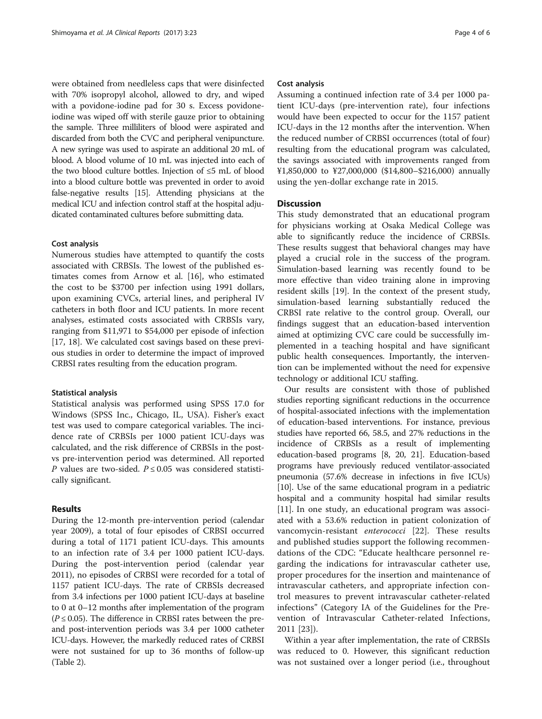were obtained from needleless caps that were disinfected with 70% isopropyl alcohol, allowed to dry, and wiped with a povidone-iodine pad for 30 s. Excess povidoneiodine was wiped off with sterile gauze prior to obtaining the sample. Three milliliters of blood were aspirated and discarded from both the CVC and peripheral venipuncture. A new syringe was used to aspirate an additional 20 mL of blood. A blood volume of 10 mL was injected into each of the two blood culture bottles. Injection of ≤5 mL of blood into a blood culture bottle was prevented in order to avoid false-negative results [[15](#page-5-0)]. Attending physicians at the medical ICU and infection control staff at the hospital adjudicated contaminated cultures before submitting data.

# Cost analysis

Numerous studies have attempted to quantify the costs associated with CRBSIs. The lowest of the published estimates comes from Arnow et al. [\[16\]](#page-5-0), who estimated the cost to be \$3700 per infection using 1991 dollars, upon examining CVCs, arterial lines, and peripheral IV catheters in both floor and ICU patients. In more recent analyses, estimated costs associated with CRBSIs vary, ranging from \$11,971 to \$54,000 per episode of infection [[17, 18\]](#page-5-0). We calculated cost savings based on these previous studies in order to determine the impact of improved CRBSI rates resulting from the education program.

## Statistical analysis

Statistical analysis was performed using SPSS 17.0 for Windows (SPSS Inc., Chicago, IL, USA). Fisher's exact test was used to compare categorical variables. The incidence rate of CRBSIs per 1000 patient ICU-days was calculated, and the risk difference of CRBSIs in the postvs pre-intervention period was determined. All reported P values are two-sided.  $P \le 0.05$  was considered statistically significant.

# Results

During the 12-month pre-intervention period (calendar year 2009), a total of four episodes of CRBSI occurred during a total of 1171 patient ICU-days. This amounts to an infection rate of 3.4 per 1000 patient ICU-days. During the post-intervention period (calendar year 2011), no episodes of CRBSI were recorded for a total of 1157 patient ICU-days. The rate of CRBSIs decreased from 3.4 infections per 1000 patient ICU-days at baseline to 0 at 0–12 months after implementation of the program  $(P \le 0.05)$ . The difference in CRBSI rates between the preand post-intervention periods was 3.4 per 1000 catheter ICU-days. However, the markedly reduced rates of CRBSI were not sustained for up to 36 months of follow-up (Table [2](#page-4-0)).

## Cost analysis

Assuming a continued infection rate of 3.4 per 1000 patient ICU-days (pre-intervention rate), four infections would have been expected to occur for the 1157 patient ICU-days in the 12 months after the intervention. When the reduced number of CRBSI occurrences (total of four) resulting from the educational program was calculated, the savings associated with improvements ranged from ¥1,850,000 to ¥27,000,000 (\$14,800–\$216,000) annually using the yen-dollar exchange rate in 2015.

# **Discussion**

This study demonstrated that an educational program for physicians working at Osaka Medical College was able to significantly reduce the incidence of CRBSIs. These results suggest that behavioral changes may have played a crucial role in the success of the program. Simulation-based learning was recently found to be more effective than video training alone in improving resident skills [[19](#page-5-0)]. In the context of the present study, simulation-based learning substantially reduced the CRBSI rate relative to the control group. Overall, our findings suggest that an education-based intervention aimed at optimizing CVC care could be successfully implemented in a teaching hospital and have significant public health consequences. Importantly, the intervention can be implemented without the need for expensive technology or additional ICU staffing.

Our results are consistent with those of published studies reporting significant reductions in the occurrence of hospital-associated infections with the implementation of education-based interventions. For instance, previous studies have reported 66, 58.5, and 27% reductions in the incidence of CRBSIs as a result of implementing education-based programs [\[8](#page-5-0), [20](#page-5-0), [21](#page-5-0)]. Education-based programs have previously reduced ventilator-associated pneumonia (57.6% decrease in infections in five ICUs) [[10](#page-5-0)]. Use of the same educational program in a pediatric hospital and a community hospital had similar results [[11](#page-5-0)]. In one study, an educational program was associated with a 53.6% reduction in patient colonization of vancomycin-resistant enterococci [\[22](#page-5-0)]. These results and published studies support the following recommendations of the CDC: "Educate healthcare personnel regarding the indications for intravascular catheter use, proper procedures for the insertion and maintenance of intravascular catheters, and appropriate infection control measures to prevent intravascular catheter-related infections" (Category IA of the Guidelines for the Prevention of Intravascular Catheter-related Infections, 2011 [[23\]](#page-5-0)).

Within a year after implementation, the rate of CRBSIs was reduced to 0. However, this significant reduction was not sustained over a longer period (i.e., throughout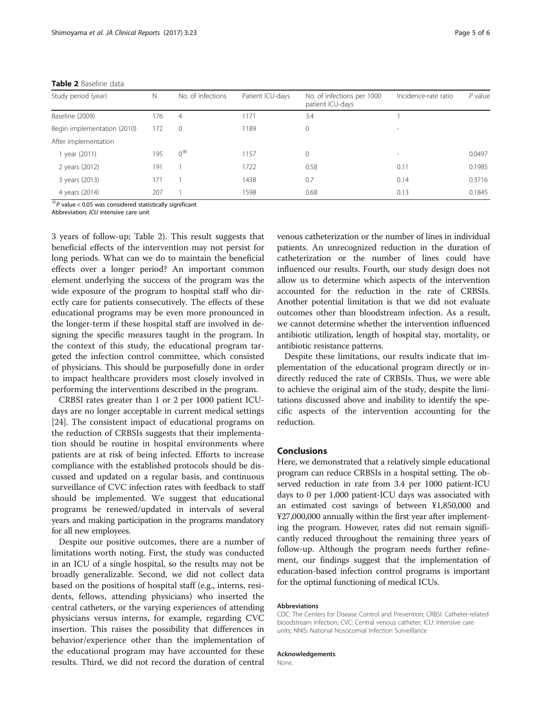<span id="page-4-0"></span>

| Table 2 Baseline data |  |
|-----------------------|--|
|-----------------------|--|

| Study period (year)         | N   | No. of infections | Patient ICU-days | No. of infections per 1000<br>patient ICU-days | Incidence-rate ratio     | $P$ value |  |  |
|-----------------------------|-----|-------------------|------------------|------------------------------------------------|--------------------------|-----------|--|--|
| Baseline (2009)             | 176 | 4                 | 1171             | 3.4                                            |                          |           |  |  |
| Begin implementation (2010) | 172 | $\Omega$          | 1189             | $\mathbf{0}$                                   | $\sim$                   |           |  |  |
| After implementation        |     |                   |                  |                                                |                          |           |  |  |
| year (2011)                 | 195 | $0^*$             | 1157             | $\mathbf{0}$                                   | $\overline{\phantom{a}}$ | 0.0497    |  |  |
| 2 years (2012)              | 191 |                   | 1722             | 0.58                                           | 0.11                     | 0.1985    |  |  |
| 3 years (2013)              | 171 |                   | 1438             | 0.7                                            | 0.14                     | 0.3716    |  |  |
| 4 years (2014)              | 207 |                   | 1598             | 0.68                                           | 0.13                     | 0.1845    |  |  |

 $\overline{P}$  value < 0.05 was considered statistically significant

Abbreviation; ICU intensive care unit

3 years of follow-up; Table 2). This result suggests that beneficial effects of the intervention may not persist for long periods. What can we do to maintain the beneficial effects over a longer period? An important common element underlying the success of the program was the wide exposure of the program to hospital staff who directly care for patients consecutively. The effects of these educational programs may be even more pronounced in the longer-term if these hospital staff are involved in designing the specific measures taught in the program. In the context of this study, the educational program targeted the infection control committee, which consisted of physicians. This should be purposefully done in order to impact healthcare providers most closely involved in performing the interventions described in the program.

CRBSI rates greater than 1 or 2 per 1000 patient ICUdays are no longer acceptable in current medical settings [[24\]](#page-5-0). The consistent impact of educational programs on the reduction of CRBSIs suggests that their implementation should be routine in hospital environments where patients are at risk of being infected. Efforts to increase compliance with the established protocols should be discussed and updated on a regular basis, and continuous surveillance of CVC infection rates with feedback to staff should be implemented. We suggest that educational programs be renewed/updated in intervals of several years and making participation in the programs mandatory for all new employees.

Despite our positive outcomes, there are a number of limitations worth noting. First, the study was conducted in an ICU of a single hospital, so the results may not be broadly generalizable. Second, we did not collect data based on the positions of hospital staff (e.g., interns, residents, fellows, attending physicians) who inserted the central catheters, or the varying experiences of attending physicians versus interns, for example, regarding CVC insertion. This raises the possibility that differences in behavior/experience other than the implementation of the educational program may have accounted for these results. Third, we did not record the duration of central

venous catheterization or the number of lines in individual patients. An unrecognized reduction in the duration of catheterization or the number of lines could have influenced our results. Fourth, our study design does not allow us to determine which aspects of the intervention accounted for the reduction in the rate of CRBSIs. Another potential limitation is that we did not evaluate outcomes other than bloodstream infection. As a result, we cannot determine whether the intervention influenced antibiotic utilization, length of hospital stay, mortality, or antibiotic resistance patterns.

Despite these limitations, our results indicate that implementation of the educational program directly or indirectly reduced the rate of CRBSIs. Thus, we were able to achieve the original aim of the study, despite the limitations discussed above and inability to identify the specific aspects of the intervention accounting for the reduction.

# Conclusions

Here, we demonstrated that a relatively simple educational program can reduce CRBSIs in a hospital setting. The observed reduction in rate from 3.4 per 1000 patient-ICU days to 0 per 1,000 patient-ICU days was associated with an estimated cost savings of between ¥1,850,000 and ¥27,000,000 annually within the first year after implementing the program. However, rates did not remain significantly reduced throughout the remaining three years of follow-up. Although the program needs further refinement, our findings suggest that the implementation of education-based infection control programs is important for the optimal functioning of medical ICUs.

#### Abbreviations

CDC: The Centers for Disease Control and Prevention; CRBSI: Catheter-related bloodstream infection; CVC: Central venous catheter; ICU: Intensive care units; NNIS: National Nosocomial Infection Surveillance

# Acknowledgements

None.